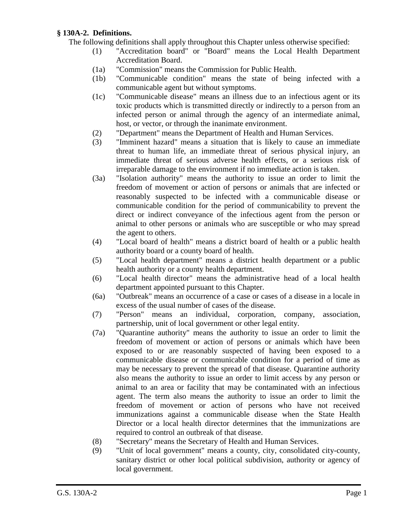## **§ 130A-2. Definitions.**

- The following definitions shall apply throughout this Chapter unless otherwise specified:
	- (1) "Accreditation board" or "Board" means the Local Health Department Accreditation Board.
	- (1a) "Commission" means the Commission for Public Health.
	- (1b) "Communicable condition" means the state of being infected with a communicable agent but without symptoms.
	- (1c) "Communicable disease" means an illness due to an infectious agent or its toxic products which is transmitted directly or indirectly to a person from an infected person or animal through the agency of an intermediate animal, host, or vector, or through the inanimate environment.
	- (2) "Department" means the Department of Health and Human Services.
	- (3) "Imminent hazard" means a situation that is likely to cause an immediate threat to human life, an immediate threat of serious physical injury, an immediate threat of serious adverse health effects, or a serious risk of irreparable damage to the environment if no immediate action is taken.
	- (3a) "Isolation authority" means the authority to issue an order to limit the freedom of movement or action of persons or animals that are infected or reasonably suspected to be infected with a communicable disease or communicable condition for the period of communicability to prevent the direct or indirect conveyance of the infectious agent from the person or animal to other persons or animals who are susceptible or who may spread the agent to others.
	- (4) "Local board of health" means a district board of health or a public health authority board or a county board of health.
	- (5) "Local health department" means a district health department or a public health authority or a county health department.
	- (6) "Local health director" means the administrative head of a local health department appointed pursuant to this Chapter.
	- (6a) "Outbreak" means an occurrence of a case or cases of a disease in a locale in excess of the usual number of cases of the disease.
	- (7) "Person" means an individual, corporation, company, association, partnership, unit of local government or other legal entity.
	- (7a) "Quarantine authority" means the authority to issue an order to limit the freedom of movement or action of persons or animals which have been exposed to or are reasonably suspected of having been exposed to a communicable disease or communicable condition for a period of time as may be necessary to prevent the spread of that disease. Quarantine authority also means the authority to issue an order to limit access by any person or animal to an area or facility that may be contaminated with an infectious agent. The term also means the authority to issue an order to limit the freedom of movement or action of persons who have not received immunizations against a communicable disease when the State Health Director or a local health director determines that the immunizations are required to control an outbreak of that disease.
	- (8) "Secretary" means the Secretary of Health and Human Services.
	- (9) "Unit of local government" means a county, city, consolidated city-county, sanitary district or other local political subdivision, authority or agency of local government.